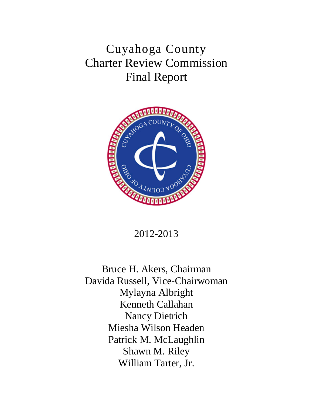Cuyahoga County Charter Review Commission Final Report



2012-2013

Bruce H. Akers, Chairman Davida Russell, Vice-Chairwoman Mylayna Albright Kenneth Callahan Nancy Dietrich Miesha Wilson Headen Patrick M. McLaughlin Shawn M. Riley William Tarter, Jr.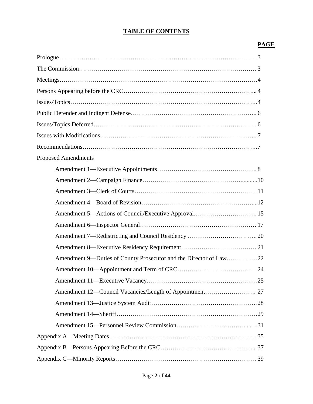## **TABLE OF CONTENTS**

## **PAGE**

| $Prologue. \dots 3$                                               |  |
|-------------------------------------------------------------------|--|
|                                                                   |  |
|                                                                   |  |
|                                                                   |  |
|                                                                   |  |
|                                                                   |  |
|                                                                   |  |
|                                                                   |  |
|                                                                   |  |
| <b>Proposed Amendments</b>                                        |  |
|                                                                   |  |
|                                                                   |  |
|                                                                   |  |
|                                                                   |  |
| Amendment 5—Actions of Council/Executive Approval 15              |  |
|                                                                   |  |
|                                                                   |  |
|                                                                   |  |
| Amendment 9—Duties of County Prosecutor and the Director of Law22 |  |
|                                                                   |  |
|                                                                   |  |
|                                                                   |  |
|                                                                   |  |
|                                                                   |  |
|                                                                   |  |
|                                                                   |  |
|                                                                   |  |
|                                                                   |  |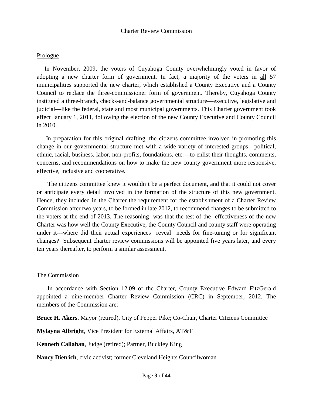#### Prologue

 In November, 2009, the voters of Cuyahoga County overwhelmingly voted in favor of adopting a new charter form of government. In fact, a majority of the voters in all 57 municipalities supported the new charter, which established a County Executive and a County Council to replace the three-commissioner form of government. Thereby, Cuyahoga County instituted a three-branch, checks-and-balance governmental structure—executive, legislative and judicial—like the federal, state and most municipal governments. This Charter government took effect January 1, 2011, following the election of the new County Executive and County Council in 2010.

 In preparation for this original drafting, the citizens committee involved in promoting this change in our governmental structure met with a wide variety of interested groups—political, ethnic, racial, business, labor, non-profits, foundations, etc.—to enlist their thoughts, comments, concerns, and recommendations on how to make the new county government more responsive, effective, inclusive and cooperative.

 The citizens committee knew it wouldn't be a perfect document, and that it could not cover or anticipate every detail involved in the formation of the structure of this new government. Hence, they included in the Charter the requirement for the establishment of a Charter Review Commission after two years, to be formed in late 2012, to recommend changes to be submitted to the voters at the end of 2013. The reasoning was that the test of the effectiveness of the new Charter was how well the County Executive, the County Council and county staff were operating under it---where did their actual experiences reveal needs for fine-tuning or for significant changes? Subsequent charter review commissions will be appointed five years later, and every ten years thereafter, to perform a similar assessment.

#### The Commission

 In accordance with Section 12.09 of the Charter, County Executive Edward FitzGerald appointed a nine-member Charter Review Commission (CRC) in September, 2012. The members of the Commission are:

**Bruce H. Akers**, Mayor (retired), City of Pepper Pike; Co-Chair, Charter Citizens Committee

**Mylayna Albright**, Vice President for External Affairs, AT&T

**Kenneth Callahan**, Judge (retired); Partner, Buckley King

**Nancy Dietrich**, civic activist; former Cleveland Heights Councilwoman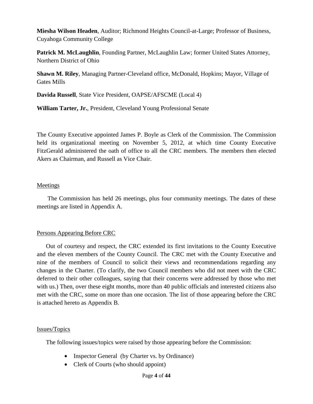**Miesha Wilson Headen**, Auditor; Richmond Heights Council-at-Large; Professor of Business, Cuyahoga Community College

**Patrick M. McLaughlin**, Founding Partner, McLaughlin Law; former United States Attorney, Northern District of Ohio

**Shawn M. Riley**, Managing Partner-Cleveland office, McDonald, Hopkins; Mayor, Village of Gates Mills

**Davida Russell**, State Vice President, OAPSE/AFSCME (Local 4)

**William Tarter, Jr.**, President, Cleveland Young Professional Senate

The County Executive appointed James P. Boyle as Clerk of the Commission. The Commission held its organizational meeting on November 5, 2012, at which time County Executive FitzGerald administered the oath of office to all the CRC members. The members then elected Akers as Chairman, and Russell as Vice Chair.

### Meetings

 The Commission has held 26 meetings, plus four community meetings. The dates of these meetings are listed in Appendix A.

## Persons Appearing Before CRC

 Out of courtesy and respect, the CRC extended its first invitations to the County Executive and the eleven members of the County Council. The CRC met with the County Executive and nine of the members of Council to solicit their views and recommendations regarding any changes in the Charter. (To clarify, the two Council members who did not meet with the CRC deferred to their other colleagues, saying that their concerns were addressed by those who met with us.) Then, over these eight months, more than 40 public officials and interested citizens also met with the CRC, some on more than one occasion. The list of those appearing before the CRC is attached hereto as Appendix B.

#### Issues/Topics

The following issues/topics were raised by those appearing before the Commission:

- Inspector General (by Charter vs. by Ordinance)
- Clerk of Courts (who should appoint)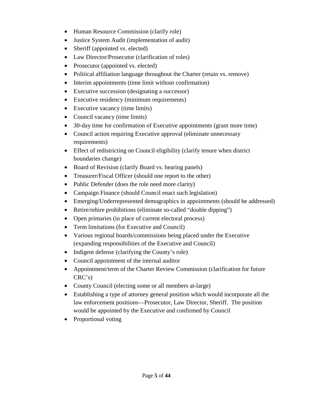- Human Resource Commission (clarify role)
- Justice System Audit (implementation of audit)
- Sheriff (appointed vs. elected)
- Law Director/Prosecutor (clarification of roles)
- Prosecutor (appointed vs. elected)
- Political affiliation language throughout the Charter (retain vs. remove)
- Interim appointments (time limit without confirmation)
- Executive succession (designating a successor)
- Executive residency (minimum requirements)
- Executive vacancy (time limits)
- Council vacancy (time limits)
- 30-day time for confirmation of Executive appointments (grant more time)
- Council action requiring Executive approval (eliminate unnecessary requirements)
- Effect of redistricting on Council eligibility (clarify tenure when district boundaries change)
- Board of Revision (clarify Board vs. hearing panels)
- Treasurer/Fiscal Officer (should one report to the other)
- Public Defender (does the role need more clarity)
- Campaign Finance (should Council enact such legislation)
- Emerging/Underrepresented demographics in appointments (should be addressed)
- Retire/rehire prohibitions (eliminate so-called "double dipping")
- Open primaries (in place of current electoral process)
- Term limitations (for Executive and Council)
- Various regional boards/commissions being placed under the Executive (expanding responsibilities of the Executive and Council)
- Indigent defense (clarifying the County's role)
- Council appointment of the internal auditor
- Appointment/term of the Charter Review Commission (clarification for future CRC's)
- County Council (electing some or all members at-large)
- Establishing a type of attorney general position which would incorporate all the law enforcement positions—Prosecutor, Law Director, Sheriff. The position would be appointed by the Executive and confirmed by Council
- Proportional voting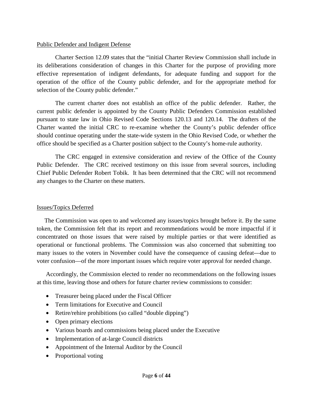#### Public Defender and Indigent Defense

Charter Section 12.09 states that the "initial Charter Review Commission shall include in its deliberations consideration of changes in this Charter for the purpose of providing more effective representation of indigent defendants, for adequate funding and support for the operation of the office of the County public defender, and for the appropriate method for selection of the County public defender."

The current charter does not establish an office of the public defender. Rather, the current public defender is appointed by the County Public Defenders Commission established pursuant to state law in Ohio Revised Code Sections 120.13 and 120.14. The drafters of the Charter wanted the initial CRC to re-examine whether the County's public defender office should continue operating under the state-wide system in the Ohio Revised Code, or whether the office should be specified as a Charter position subject to the County's home-rule authority.

The CRC engaged in extensive consideration and review of the Office of the County Public Defender. The CRC received testimony on this issue from several sources, including Chief Public Defender Robert Tobik. It has been determined that the CRC will not recommend any changes to the Charter on these matters.

#### Issues/Topics Deferred

 The Commission was open to and welcomed any issues/topics brought before it. By the same token, the Commission felt that its report and recommendations would be more impactful if it concentrated on those issues that were raised by multiple parties or that were identified as operational or functional problems. The Commission was also concerned that submitting too many issues to the voters in November could have the consequence of causing defeat---due to voter confusion—of the more important issues which require voter approval for needed change.

 Accordingly, the Commission elected to render no recommendations on the following issues at this time, leaving those and others for future charter review commissions to consider:

- Treasurer being placed under the Fiscal Officer
- Term limitations for Executive and Council
- Retire/rehire prohibitions (so called "double dipping")
- Open primary elections
- Various boards and commissions being placed under the Executive
- Implementation of at-large Council districts
- Appointment of the Internal Auditor by the Council
- Proportional voting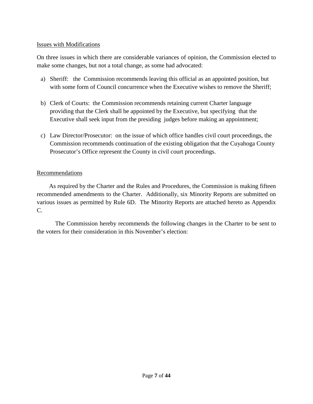#### Issues with Modifications

On three issues in which there are considerable variances of opinion, the Commission elected to make some changes, but not a total change, as some had advocated:

- a) Sheriff: the Commission recommends leaving this official as an appointed position, but with some form of Council concurrence when the Executive wishes to remove the Sheriff;
- b) Clerk of Courts: the Commission recommends retaining current Charter language providing that the Clerk shall be appointed by the Executive, but specifying that the Executive shall seek input from the presiding judges before making an appointment;
- c) Law Director/Prosecutor: on the issue of which office handles civil court proceedings, the Commission recommends continuation of the existing obligation that the Cuyahoga County Prosecutor's Office represent the County in civil court proceedings.

#### Recommendations

 As required by the Charter and the Rules and Procedures, the Commission is making fifteen recommended amendments to the Charter. Additionally, six Minority Reports are submitted on various issues as permitted by Rule 6D. The Minority Reports are attached hereto as Appendix C.

The Commission hereby recommends the following changes in the Charter to be sent to the voters for their consideration in this November's election: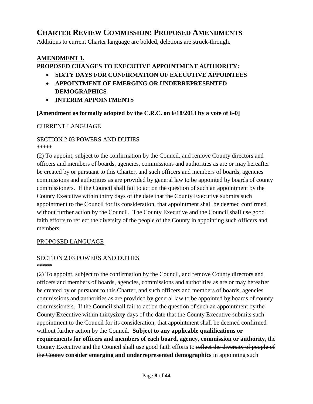# **CHARTER REVIEW COMMISSION: PROPOSED AMENDMENTS**

Additions to current Charter language are bolded, deletions are struck-through.

## **AMENDMENT 1.**

## **PROPOSED CHANGES TO EXECUTIVE APPOINTMENT AUTHORITY:**

- **SIXTY DAYS FOR CONFIRMATION OF EXECUTIVE APPOINTEES**
- **APPOINTMENT OF EMERGING OR UNDERREPRESENTED DEMOGRAPHICS**
- **INTERIM APPOINTMENTS**

#### **[Amendment as formally adopted by the C.R.C. on 6/18/2013 by a vote of 6-0]**

#### CURRENT LANGUAGE

# SECTION 2.03 POWERS AND DUTIES

\*\*\*\*\*

(2) To appoint, subject to the confirmation by the Council, and remove County directors and officers and members of boards, agencies, commissions and authorities as are or may hereafter be created by or pursuant to this Charter, and such officers and members of boards, agencies commissions and authorities as are provided by general law to be appointed by boards of county commissioners. If the Council shall fail to act on the question of such an appointment by the County Executive within thirty days of the date that the County Executive submits such appointment to the Council for its consideration, that appointment shall be deemed confirmed without further action by the Council. The County Executive and the Council shall use good faith efforts to reflect the diversity of the people of the County in appointing such officers and members.

#### PROPOSED LANGUAGE

#### SECTION 2.03 POWERS AND DUTIES \*\*\*\*\*

(2) To appoint, subject to the confirmation by the Council, and remove County directors and officers and members of boards, agencies, commissions and authorities as are or may hereafter be created by or pursuant to this Charter, and such officers and members of boards, agencies commissions and authorities as are provided by general law to be appointed by boards of county commissioners. If the Council shall fail to act on the question of such an appointment by the County Executive within thirty**sixty** days of the date that the County Executive submits such appointment to the Council for its consideration, that appointment shall be deemed confirmed without further action by the Council. **Subject to any applicable qualifications or requirements for officers and members of each board, agency, commission or authority**, the County Executive and the Council shall use good faith efforts to reflect the diversity of people of the County **consider emerging and underrepresented demographics** in appointing such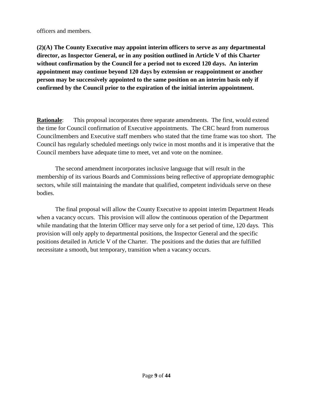officers and members.

**(2)(A) The County Executive may appoint interim officers to serve as any departmental director, as Inspector General, or in any position outlined in Article V of this Charter without confirmation by the Council for a period not to exceed 120 days. An interim appointment may continue beyond 120 days by extension or reappointment or another person may be successively appointed to the same position on an interim basis only if confirmed by the Council prior to the expiration of the initial interim appointment.**

**Rationale:** This proposal incorporates three separate amendments. The first, would extend the time for Council confirmation of Executive appointments. The CRC heard from numerous Councilmembers and Executive staff members who stated that the time frame was too short. The Council has regularly scheduled meetings only twice in most months and it is imperative that the Council members have adequate time to meet, vet and vote on the nominee.

The second amendment incorporates inclusive language that will result in the membership of its various Boards and Commissions being reflective of appropriate demographic sectors, while still maintaining the mandate that qualified, competent individuals serve on these bodies.

The final proposal will allow the County Executive to appoint interim Department Heads when a vacancy occurs. This provision will allow the continuous operation of the Department while mandating that the Interim Officer may serve only for a set period of time, 120 days. This provision will only apply to departmental positions, the Inspector General and the specific positions detailed in Article V of the Charter. The positions and the duties that are fulfilled necessitate a smooth, but temporary, transition when a vacancy occurs.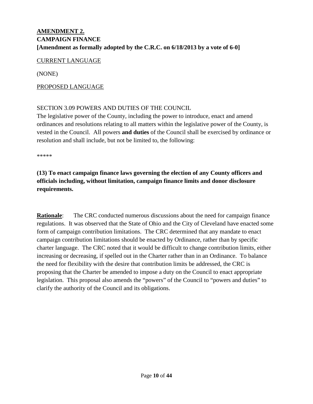## **AMENDMENT 2. CAMPAIGN FINANCE [Amendment as formally adopted by the C.R.C. on 6/18/2013 by a vote of 6-0]**

#### CURRENT LANGUAGE

(NONE)

#### PROPOSED LANGUAGE

#### SECTION 3.09 POWERS AND DUTIES OF THE COUNCIL

The legislative power of the County, including the power to introduce, enact and amend ordinances and resolutions relating to all matters within the legislative power of the County, is vested in the Council. All powers **and duties** of the Council shall be exercised by ordinance or resolution and shall include, but not be limited to, the following:

\*\*\*\*\*

## **(13) To enact campaign finance laws governing the election of any County officers and officials including, without limitation, campaign finance limits and donor disclosure requirements.**

**Rationale:** The CRC conducted numerous discussions about the need for campaign finance regulations. It was observed that the State of Ohio and the City of Cleveland have enacted some form of campaign contribution limitations. The CRC determined that any mandate to enact campaign contribution limitations should be enacted by Ordinance, rather than by specific charter language. The CRC noted that it would be difficult to change contribution limits, either increasing or decreasing, if spelled out in the Charter rather than in an Ordinance. To balance the need for flexibility with the desire that contribution limits be addressed, the CRC is proposing that the Charter be amended to impose a duty on the Council to enact appropriate legislation. This proposal also amends the "powers" of the Council to "powers and duties" to clarify the authority of the Council and its obligations.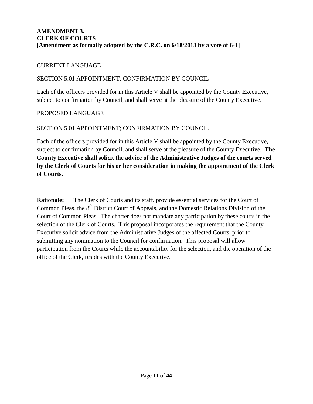## **AMENDMENT 3. CLERK OF COURTS [Amendment as formally adopted by the C.R.C. on 6/18/2013 by a vote of 6-1]**

#### CURRENT LANGUAGE

#### SECTION 5.01 APPOINTMENT; CONFIRMATION BY COUNCIL

Each of the officers provided for in this Article V shall be appointed by the County Executive, subject to confirmation by Council, and shall serve at the pleasure of the County Executive.

#### PROPOSED LANGUAGE

#### SECTION 5.01 APPOINTMENT; CONFIRMATION BY COUNCIL

Each of the officers provided for in this Article V shall be appointed by the County Executive, subject to confirmation by Council, and shall serve at the pleasure of the County Executive. **The County Executive shall solicit the advice of the Administrative Judges of the courts served by the Clerk of Courts for his or her consideration in making the appointment of the Clerk of Courts.**

**Rationale:** The Clerk of Courts and its staff, provide essential services for the Court of Common Pleas, the 8<sup>th</sup> District Court of Appeals, and the Domestic Relations Division of the Court of Common Pleas. The charter does not mandate any participation by these courts in the selection of the Clerk of Courts. This proposal incorporates the requirement that the County Executive solicit advice from the Administrative Judges of the affected Courts, prior to submitting any nomination to the Council for confirmation. This proposal will allow participation from the Courts while the accountability for the selection, and the operation of the office of the Clerk, resides with the County Executive.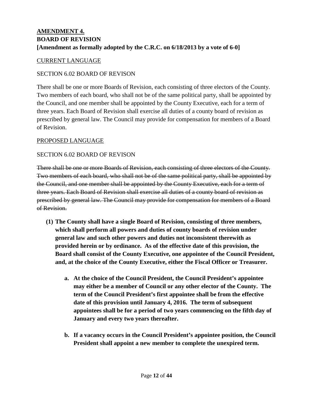## **AMENDMENT 4. BOARD OF REVISION [Amendment as formally adopted by the C.R.C. on 6/18/2013 by a vote of 6-0]**

#### CURRENT LANGUAGE

### SECTION 6.02 BOARD OF REVISON

There shall be one or more Boards of Revision, each consisting of three electors of the County. Two members of each board, who shall not be of the same political party, shall be appointed by the Council, and one member shall be appointed by the County Executive, each for a term of three years. Each Board of Revision shall exercise all duties of a county board of revision as prescribed by general law. The Council may provide for compensation for members of a Board of Revision.

### PROPOSED LANGUAGE

### SECTION 6.02 BOARD OF REVISON

There shall be one or more Boards of Revision, each consisting of three electors of the County. Two members of each board, who shall not be of the same political party, shall be appointed by the Council, and one member shall be appointed by the County Executive, each for a term of three years. Each Board of Revision shall exercise all duties of a county board of revision as prescribed by general law. The Council may provide for compensation for members of a Board of Revision.

- **(1) The County shall have a single Board of Revision, consisting of three members, which shall perform all powers and duties of county boards of revision under general law and such other powers and duties not inconsistent therewith as provided herein or by ordinance. As of the effective date of this provision, the Board shall consist of the County Executive, one appointee of the Council President, and, at the choice of the County Executive, either the Fiscal Officer or Treasurer.** 
	- **a. At the choice of the Council President, the Council President's appointee may either be a member of Council or any other elector of the County. The term of the Council President's first appointee shall be from the effective date of this provision until January 4, 2016. The term of subsequent appointees shall be for a period of two years commencing on the fifth day of January and every two years thereafter.**
	- **b. If a vacancy occurs in the Council President's appointee position, the Council President shall appoint a new member to complete the unexpired term.**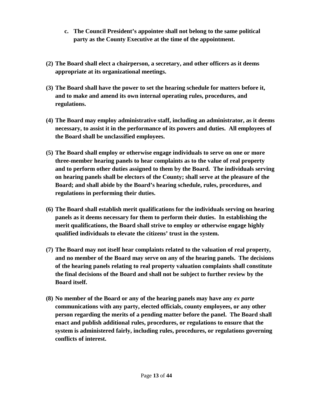- **c. The Council President's appointee shall not belong to the same political party as the County Executive at the time of the appointment.**
- **(2) The Board shall elect a chairperson, a secretary, and other officers as it deems appropriate at its organizational meetings.**
- **(3) The Board shall have the power to set the hearing schedule for matters before it, and to make and amend its own internal operating rules, procedures, and regulations.**
- **(4) The Board may employ administrative staff, including an administrator, as it deems necessary, to assist it in the performance of its powers and duties. All employees of the Board shall be unclassified employees.**
- **(5) The Board shall employ or otherwise engage individuals to serve on one or more three-member hearing panels to hear complaints as to the value of real property and to perform other duties assigned to them by the Board. The individuals serving on hearing panels shall be electors of the County; shall serve at the pleasure of the Board; and shall abide by the Board's hearing schedule, rules, procedures, and regulations in performing their duties.**
- **(6) The Board shall establish merit qualifications for the individuals serving on hearing panels as it deems necessary for them to perform their duties. In establishing the merit qualifications, the Board shall strive to employ or otherwise engage highly qualified individuals to elevate the citizens' trust in the system.**
- **(7) The Board may not itself hear complaints related to the valuation of real property, and no member of the Board may serve on any of the hearing panels. The decisions of the hearing panels relating to real property valuation complaints shall constitute the final decisions of the Board and shall not be subject to further review by the Board itself.**
- **(8) No member of the Board or any of the hearing panels may have any** *ex parte* **communications with any party, elected officials, county employees, or any other person regarding the merits of a pending matter before the panel. The Board shall enact and publish additional rules, procedures, or regulations to ensure that the system is administered fairly, including rules, procedures, or regulations governing conflicts of interest.**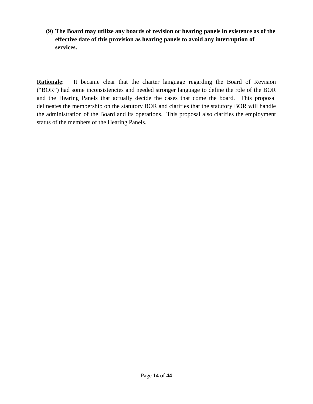**(9) The Board may utilize any boards of revision or hearing panels in existence as of the effective date of this provision as hearing panels to avoid any interruption of services.** 

**Rationale:** It became clear that the charter language regarding the Board of Revision ("BOR") had some inconsistencies and needed stronger language to define the role of the BOR and the Hearing Panels that actually decide the cases that come the board. This proposal delineates the membership on the statutory BOR and clarifies that the statutory BOR will handle the administration of the Board and its operations. This proposal also clarifies the employment status of the members of the Hearing Panels.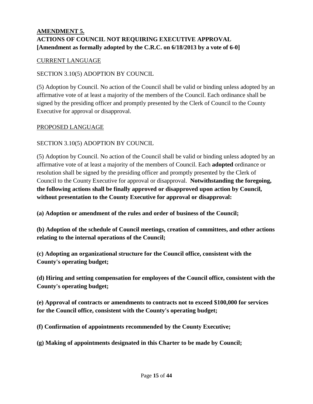## **AMENDMENT 5. ACTIONS OF COUNCIL NOT REQUIRING EXECUTIVE APPROVAL [Amendment as formally adopted by the C.R.C. on 6/18/2013 by a vote of 6-0]**

### CURRENT LANGUAGE

### SECTION 3.10(5) ADOPTION BY COUNCIL

(5) Adoption by Council. No action of the Council shall be valid or binding unless adopted by an affirmative vote of at least a majority of the members of the Council. Each ordinance shall be signed by the presiding officer and promptly presented by the Clerk of Council to the County Executive for approval or disapproval.

#### PROPOSED LANGUAGE

### SECTION 3.10(5) ADOPTION BY COUNCIL

(5) Adoption by Council. No action of the Council shall be valid or binding unless adopted by an affirmative vote of at least a majority of the members of Council. Each **adopted** ordinance or resolution shall be signed by the presiding officer and promptly presented by the Clerk of Council to the County Executive for approval or disapproval. **Notwithstanding the foregoing, the following actions shall be finally approved or disapproved upon action by Council, without presentation to the County Executive for approval or disapproval:**

**(a) Adoption or amendment of the rules and order of business of the Council;**

**(b) Adoption of the schedule of Council meetings, creation of committees, and other actions relating to the internal operations of the Council;**

**(c) Adopting an organizational structure for the Council office, consistent with the County's operating budget;**

**(d) Hiring and setting compensation for employees of the Council office, consistent with the County's operating budget;**

**(e) Approval of contracts or amendments to contracts not to exceed \$100,000 for services for the Council office, consistent with the County's operating budget;**

**(f) Confirmation of appointments recommended by the County Executive;**

**(g) Making of appointments designated in this Charter to be made by Council;**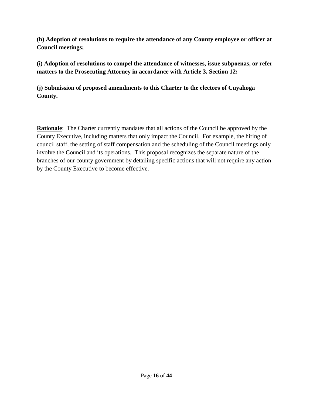**(h) Adoption of resolutions to require the attendance of any County employee or officer at Council meetings;**

**(i) Adoption of resolutions to compel the attendance of witnesses, issue subpoenas, or refer matters to the Prosecuting Attorney in accordance with Article 3, Section 12;**

**(j) Submission of proposed amendments to this Charter to the electors of Cuyahoga County.**

**Rationale**: The Charter currently mandates that all actions of the Council be approved by the County Executive, including matters that only impact the Council. For example, the hiring of council staff, the setting of staff compensation and the scheduling of the Council meetings only involve the Council and its operations. This proposal recognizes the separate nature of the branches of our county government by detailing specific actions that will not require any action by the County Executive to become effective.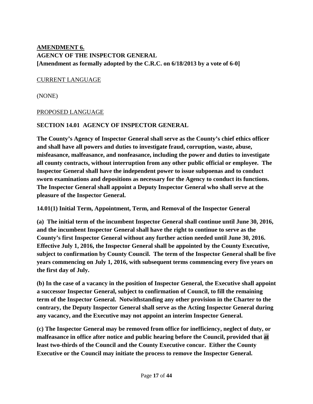## **AMENDMENT 6. AGENCY OF THE INSPECTOR GENERAL [Amendment as formally adopted by the C.R.C. on 6/18/2013 by a vote of 6-0]**

#### CURRENT LANGUAGE

(NONE)

#### PROPOSED LANGUAGE

#### **SECTION 14.01 AGENCY OF INSPECTOR GENERAL**

**The County's Agency of Inspector General shall serve as the County's chief ethics officer and shall have all powers and duties to investigate fraud, corruption, waste, abuse, misfeasance, malfeasance, and nonfeasance, including the power and duties to investigate all county contracts, without interruption from any other public official or employee. The Inspector General shall have the independent power to issue subpoenas and to conduct sworn examinations and depositions as necessary for the Agency to conduct its functions. The Inspector General shall appoint a Deputy Inspector General who shall serve at the pleasure of the Inspector General.** 

**14.01(1) Initial Term, Appointment, Term, and Removal of the Inspector General**

**(a) The initial term of the incumbent Inspector General shall continue until June 30, 2016, and the incumbent Inspector General shall have the right to continue to serve as the County's first Inspector General without any further action needed until June 30, 2016. Effective July 1, 2016, the Inspector General shall be appointed by the County Executive, subject to confirmation by County Council. The term of the Inspector General shall be five years commencing on July 1, 2016, with subsequent terms commencing every five years on the first day of July.** 

**(b) In the case of a vacancy in the position of Inspector General, the Executive shall appoint a successor Inspector General, subject to confirmation of Council, to fill the remaining term of the Inspector General. Notwithstanding any other provision in the Charter to the contrary, the Deputy Inspector General shall serve as the Acting Inspector General during any vacancy, and the Executive may not appoint an interim Inspector General.** 

**(c) The Inspector General may be removed from office for inefficiency, neglect of duty, or malfeasance in office after notice and public hearing before the Council, provided that at least two-thirds of the Council and the County Executive concur. Either the County Executive or the Council may initiate the process to remove the Inspector General.**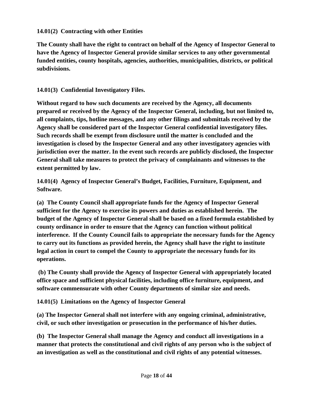### **14.01(2) Contracting with other Entities**

**The County shall have the right to contract on behalf of the Agency of Inspector General to have the Agency of Inspector General provide similar services to any other governmental funded entities, county hospitals, agencies, authorities, municipalities, districts, or political subdivisions.**

## **14.01(3) Confidential Investigatory Files.**

**Without regard to how such documents are received by the Agency, all documents prepared or received by the Agency of the Inspector General, including, but not limited to, all complaints, tips, hotline messages, and any other filings and submittals received by the Agency shall be considered part of the Inspector General confidential investigatory files. Such records shall be exempt from disclosure until the matter is concluded and the investigation is closed by the Inspector General and any other investigatory agencies with jurisdiction over the matter. In the event such records are publicly disclosed, the Inspector General shall take measures to protect the privacy of complainants and witnesses to the extent permitted by law.**

**14.01(4) Agency of Inspector General's Budget, Facilities, Furniture, Equipment, and Software.**

**(a) The County Council shall appropriate funds for the Agency of Inspector General sufficient for the Agency to exercise its powers and duties as established herein. The budget of the Agency of Inspector General shall be based on a fixed formula established by county ordinance in order to ensure that the Agency can function without political interference. If the County Council fails to appropriate the necessary funds for the Agency to carry out its functions as provided herein, the Agency shall have the right to institute legal action in court to compel the County to appropriate the necessary funds for its operations.** 

**(b) The County shall provide the Agency of Inspector General with appropriately located office space and sufficient physical facilities, including office furniture, equipment, and software commensurate with other County departments of similar size and needs.**

**14.01(5) Limitations on the Agency of Inspector General**

**(a) The Inspector General shall not interfere with any ongoing criminal, administrative, civil, or such other investigation or prosecution in the performance of his/her duties.** 

**(b) The Inspector General shall manage the Agency and conduct all investigations in a manner that protects the constitutional and civil rights of any person who is the subject of an investigation as well as the constitutional and civil rights of any potential witnesses.**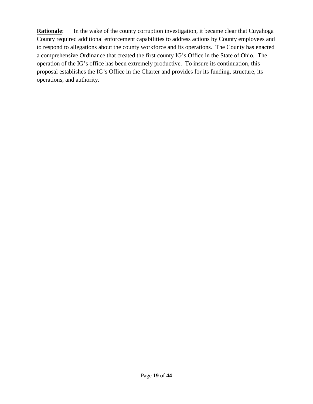**Rationale:** In the wake of the county corruption investigation, it became clear that Cuyahoga County required additional enforcement capabilities to address actions by County employees and to respond to allegations about the county workforce and its operations. The County has enacted a comprehensive Ordinance that created the first county IG's Office in the State of Ohio. The operation of the IG's office has been extremely productive. To insure its continuation, this proposal establishes the IG's Office in the Charter and provides for its funding, structure, its operations, and authority.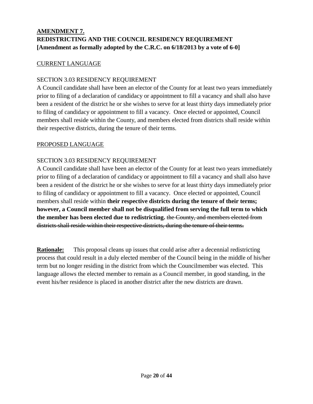## **AMENDMENT 7. REDISTRICTING AND THE COUNCIL RESIDENCY REQUIREMENT [Amendment as formally adopted by the C.R.C. on 6/18/2013 by a vote of 6-0]**

## CURRENT LANGUAGE

### SECTION 3.03 RESIDENCY REQUIREMENT

A Council candidate shall have been an elector of the County for at least two years immediately prior to filing of a declaration of candidacy or appointment to fill a vacancy and shall also have been a resident of the district he or she wishes to serve for at least thirty days immediately prior to filing of candidacy or appointment to fill a vacancy. Once elected or appointed, Council members shall reside within the County, and members elected from districts shall reside within their respective districts, during the tenure of their terms.

#### PROPOSED LANGUAGE

## SECTION 3.03 RESIDENCY REQUIREMENT

A Council candidate shall have been an elector of the County for at least two years immediately prior to filing of a declaration of candidacy or appointment to fill a vacancy and shall also have been a resident of the district he or she wishes to serve for at least thirty days immediately prior to filing of candidacy or appointment to fill a vacancy. Once elected or appointed, Council members shall reside within **their respective districts during the tenure of their terms; however, a Council member shall not be disqualified from serving the full term to which the member has been elected due to redistricting.** the County, and members elected from districts shall reside within their respective districts, during the tenure of their terms.

**Rationale:** This proposal cleans up issues that could arise after a decennial redistricting process that could result in a duly elected member of the Council being in the middle of his/her term but no longer residing in the district from which the Councilmember was elected. This language allows the elected member to remain as a Council member, in good standing, in the event his/her residence is placed in another district after the new districts are drawn.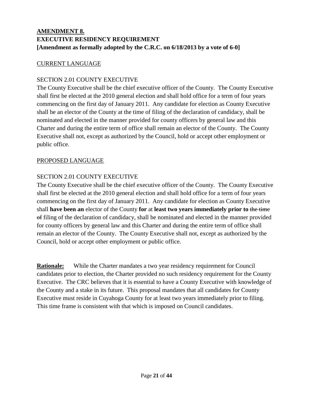## **AMENDMENT 8. EXECUTIVE RESIDENCY REQUIREMENT [Amendment as formally adopted by the C.R.C. on 6/18/2013 by a vote of 6-0]**

## CURRENT LANGUAGE

## SECTION 2.01 COUNTY EXECUTIVE

The County Executive shall be the chief executive officer of the County. The County Executive shall first be elected at the 2010 general election and shall hold office for a term of four years commencing on the first day of January 2011. Any candidate for election as County Executive shall be an elector of the County at the time of filing of the declaration of candidacy, shall be nominated and elected in the manner provided for county officers by general law and this Charter and during the entire term of office shall remain an elector of the County. The County Executive shall not, except as authorized by the Council, hold or accept other employment or public office.

#### PROPOSED LANGUAGE

## SECTION 2.01 COUNTY EXECUTIVE

The County Executive shall be the chief executive officer of the County. The County Executive shall first be elected at the 2010 general election and shall hold office for a term of four years commencing on the first day of January 2011. Any candidate for election as County Executive shall **have been an** elector of the County **for** at **least two years immediately prior to** the time of filing of the declaration of candidacy, shall be nominated and elected in the manner provided for county officers by general law and this Charter and during the entire term of office shall remain an elector of the County. The County Executive shall not, except as authorized by the Council, hold or accept other employment or public office.

**Rationale:** While the Charter mandates a two year residency requirement for Council candidates prior to election, the Charter provided no such residency requirement for the County Executive. The CRC believes that it is essential to have a County Executive with knowledge of the County and a stake in its future. This proposal mandates that all candidates for County Executive must reside in Cuyahoga County for at least two years immediately prior to filing. This time frame is consistent with that which is imposed on Council candidates.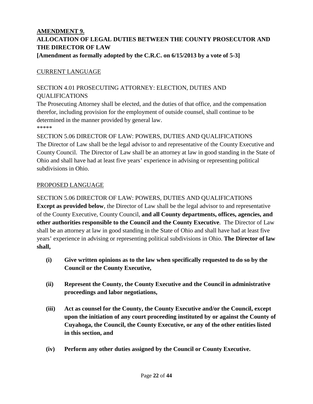## **AMENDMENT 9. ALLOCATION OF LEGAL DUTIES BETWEEN THE COUNTY PROSECUTOR AND THE DIRECTOR OF LAW [Amendment as formally adopted by the C.R.C. on 6/15/2013 by a vote of 5-3]**

## CURRENT LANGUAGE

## SECTION 4.01 PROSECUTING ATTORNEY: ELECTION, DUTIES AND **OUALIFICATIONS**

The Prosecuting Attorney shall be elected, and the duties of that office, and the compensation therefor, including provision for the employment of outside counsel, shall continue to be determined in the manner provided by general law. \*\*\*\*\*

SECTION 5.06 DIRECTOR OF LAW: POWERS, DUTIES AND QUALIFICATIONS The Director of Law shall be the legal advisor to and representative of the County Executive and County Council. The Director of Law shall be an attorney at law in good standing in the State of Ohio and shall have had at least five years' experience in advising or representing political subdivisions in Ohio.

#### PROPOSED LANGUAGE

## SECTION 5.06 DIRECTOR OF LAW: POWERS, DUTIES AND QUALIFICATIONS

**Except as provided below**, the Director of Law shall be the legal advisor to and representative of the County Executive, County Council, **and all County departments, offices, agencies, and other authorities responsible to the Council and the County Executive**. The Director of Law shall be an attorney at law in good standing in the State of Ohio and shall have had at least five years' experience in advising or representing political subdivisions in Ohio. **The Director of law shall,**

- **(i) Give written opinions as to the law when specifically requested to do so by the Council or the County Executive,**
- **(ii) Represent the County, the County Executive and the Council in administrative proceedings and labor negotiations,**
- **(iii) Act as counsel for the County, the County Executive and/or the Council, except upon the initiation of any court proceeding instituted by or against the County of Cuyahoga, the Council, the County Executive, or any of the other entities listed in this section, and**
- **(iv) Perform any other duties assigned by the Council or County Executive.**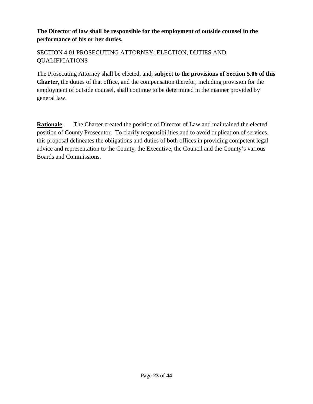## **The Director of law shall be responsible for the employment of outside counsel in the performance of his or her duties.**

## SECTION 4.01 PROSECUTING ATTORNEY: ELECTION, DUTIES AND QUALIFICATIONS

The Prosecuting Attorney shall be elected, and, **subject to the provisions of Section 5.06 of this Charter**, the duties of that office, and the compensation therefor, including provision for the employment of outside counsel, shall continue to be determined in the manner provided by general law.

**Rationale**: The Charter created the position of Director of Law and maintained the elected position of County Prosecutor. To clarify responsibilities and to avoid duplication of services, this proposal delineates the obligations and duties of both offices in providing competent legal advice and representation to the County, the Executive, the Council and the County's various Boards and Commissions.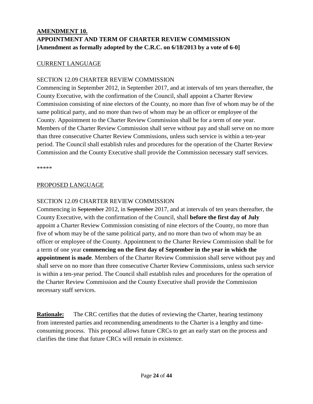## **AMENDMENT 10. APPOINTMENT AND TERM OF CHARTER REVIEW COMMISSION [Amendment as formally adopted by the C.R.C. on 6/18/2013 by a vote of 6-0]**

## CURRENT LANGUAGE

### SECTION 12.09 CHARTER REVIEW COMMISSION

Commencing in September 2012, in September 2017, and at intervals of ten years thereafter, the County Executive, with the confirmation of the Council, shall appoint a Charter Review Commission consisting of nine electors of the County, no more than five of whom may be of the same political party, and no more than two of whom may be an officer or employee of the County. Appointment to the Charter Review Commission shall be for a term of one year. Members of the Charter Review Commission shall serve without pay and shall serve on no more than three consecutive Charter Review Commissions, unless such service is within a ten-year period. The Council shall establish rules and procedures for the operation of the Charter Review Commission and the County Executive shall provide the Commission necessary staff services.

\*\*\*\*\*

#### PROPOSED LANGUAGE

### SECTION 12.09 CHARTER REVIEW COMMISSION

Commencing in September 2012, in September 2017, and at intervals of ten years thereafter, the County Executive, with the confirmation of the Council, shall **before the first day of July** appoint a Charter Review Commission consisting of nine electors of the County, no more than five of whom may be of the same political party, and no more than two of whom may be an officer or employee of the County. Appointment to the Charter Review Commission shall be for a term of one year **commencing on the first day of September in the year in which the appointment is made**. Members of the Charter Review Commission shall serve without pay and shall serve on no more than three consecutive Charter Review Commissions, unless such service is within a ten-year period. The Council shall establish rules and procedures for the operation of the Charter Review Commission and the County Executive shall provide the Commission necessary staff services.

**Rationale:** The CRC certifies that the duties of reviewing the Charter, hearing testimony from interested parties and recommending amendments to the Charter is a lengthy and timeconsuming process. This proposal allows future CRCs to get an early start on the process and clarifies the time that future CRCs will remain in existence.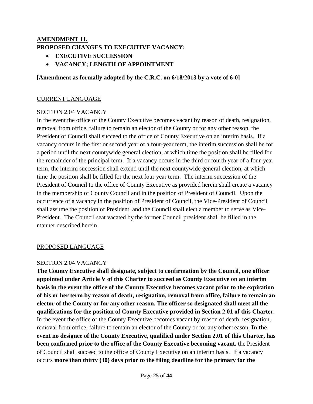## **AMENDMENT 11. PROPOSED CHANGES TO EXECUTIVE VACANCY:**

- **EXECUTIVE SUCCESSION**
- **VACANCY; LENGTH OF APPOINTMENT**

## **[Amendment as formally adopted by the C.R.C. on 6/18/2013 by a vote of 6-0]**

#### CURRENT LANGUAGE

#### SECTION 2.04 VACANCY

In the event the office of the County Executive becomes vacant by reason of death, resignation, removal from office, failure to remain an elector of the County or for any other reason, the President of Council shall succeed to the office of County Executive on an interim basis. If a vacancy occurs in the first or second year of a four-year term, the interim succession shall be for a period until the next countywide general election, at which time the position shall be filled for the remainder of the principal term. If a vacancy occurs in the third or fourth year of a four-year term, the interim succession shall extend until the next countywide general election, at which time the position shall be filled for the next four year term. The interim succession of the President of Council to the office of County Executive as provided herein shall create a vacancy in the membership of County Council and in the position of President of Council. Upon the occurrence of a vacancy in the position of President of Council, the Vice-President of Council shall assume the position of President, and the Council shall elect a member to serve as Vice-President. The Council seat vacated by the former Council president shall be filled in the manner described herein.

#### PROPOSED LANGUAGE

#### SECTION 2.04 VACANCY

**The County Executive shall designate, subject to confirmation by the Council, one officer appointed under Article V of this Charter to succeed as County Executive on an interim basis in the event the office of the County Executive becomes vacant prior to the expiration of his or her term by reason of death, resignation, removal from office, failure to remain an elector of the County or for any other reason. The officer so designated shall meet all the qualifications for the position of County Executive provided in Section 2.01 of this Charter.**  In the event the office of the County Executive becomes vacant by reason of death, resignation, removal from office, failure to remain an elector of the County or for any other reason, **In the event no designee of the County Executive, qualified under Section 2.01 of this Charter, has been confirmed prior to the office of the County Executive becoming vacant,** the President of Council shall succeed to the office of County Executive on an interim basis. If a vacancy occurs **more than thirty (30) days prior to the filing deadline for the primary for the**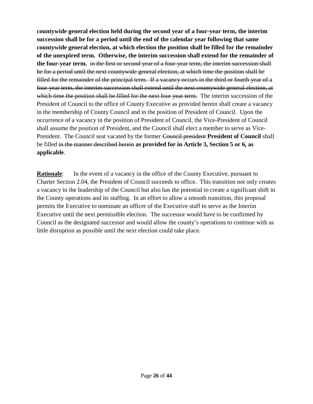**countywide general election held during the second year of a four-year term, the interim succession shall be for a period until the end of the calendar year following that same countywide general election, at which election the position shall be filled for the remainder of the unexpired term. Otherwise, the interim succession shall extend for the remainder of the four-year term.** in the first or second year of a four-year term, the interim succession shall be for a period until the next countywide general election, at which time the position shall be filled for the remainder of the principal term. If a vacancy occurs in the third or fourth year of a four-year term, the interim succession shall extend until the next countywide general election, at which time the position shall be filled for the next four year term. The interim succession of the President of Council to the office of County Executive as provided herein shall create a vacancy in the membership of County Council and in the position of President of Council. Upon the occurrence of a vacancy in the position of President of Council, the Vice-President of Council shall assume the position of President, and the Council shall elect a member to serve as Vice-President. The Council seat vacated by the former Council president **President of Council** shall be filled in the manner described herein **as provided for in Article 3, Section 5 or 6, as applicable**.

**Rationale:** In the event of a vacancy in the office of the County Executive, pursuant to Charter Section 2.04, the President of Council succeeds to office. This transition not only creates a vacancy in the leadership of the Council but also has the potential to create a significant shift in the County operations and its staffing. In an effort to allow a smooth transition, this proposal permits the Executive to nominate an officer of the Executive staff to serve as the Interim Executive until the next permissible election. The successor would have to be confirmed by Council as the designated successor and would allow the county's operations to continue with as little disruption as possible until the next election could take place.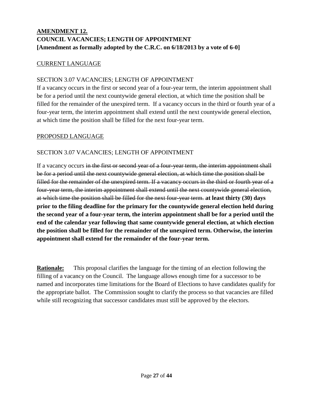## **AMENDMENT 12. COUNCIL VACANCIES; LENGTH OF APPOINTMENT [Amendment as formally adopted by the C.R.C. on 6/18/2013 by a vote of 6-0]**

### CURRENT LANGUAGE

### SECTION 3.07 VACANCIES; LENGTH OF APPOINTMENT

If a vacancy occurs in the first or second year of a four-year term, the interim appointment shall be for a period until the next countywide general election, at which time the position shall be filled for the remainder of the unexpired term. If a vacancy occurs in the third or fourth year of a four-year term, the interim appointment shall extend until the next countywide general election, at which time the position shall be filled for the next four-year term.

### PROPOSED LANGUAGE

## SECTION 3.07 VACANCIES; LENGTH OF APPOINTMENT

If a vacancy occurs in the first or second year of a four-year term, the interim appointment shall be for a period until the next countywide general election, at which time the position shall be filled for the remainder of the unexpired term. If a vacancy occurs in the third or fourth year of a four-year term, the interim appointment shall extend until the next countywide general election, at which time the position shall be filled for the next four-year term. **at least thirty (30) days prior to the filing deadline for the primary for the countywide general election held during the second year of a four-year term, the interim appointment shall be for a period until the end of the calendar year following that same countywide general election, at which election the position shall be filled for the remainder of the unexpired term. Otherwise, the interim appointment shall extend for the remainder of the four-year term.**

**Rationale:** This proposal clarifies the language for the timing of an election following the filling of a vacancy on the Council. The language allows enough time for a successor to be named and incorporates time limitations for the Board of Elections to have candidates qualify for the appropriate ballot. The Commission sought to clarify the process so that vacancies are filled while still recognizing that successor candidates must still be approved by the electors.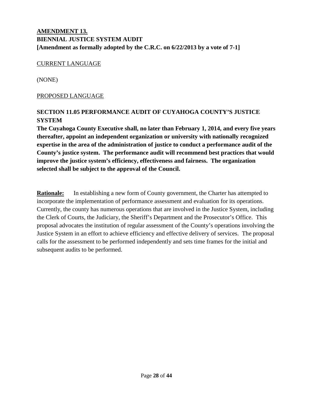## **AMENDMENT 13. BIENNIAL JUSTICE SYSTEM AUDIT [Amendment as formally adopted by the C.R.C. on 6/22/2013 by a vote of 7-1]**

#### CURRENT LANGUAGE

(NONE)

#### PROPOSED LANGUAGE

## **SECTION 11.05 PERFORMANCE AUDIT OF CUYAHOGA COUNTY'S JUSTICE SYSTEM**

**The Cuyahoga County Executive shall, no later than February 1, 2014, and every five years thereafter, appoint an independent organization or university with nationally recognized expertise in the area of the administration of justice to conduct a performance audit of the County's justice system. The performance audit will recommend best practices that would improve the justice system's efficiency, effectiveness and fairness. The organization selected shall be subject to the approval of the Council.**

**Rationale:** In establishing a new form of County government, the Charter has attempted to incorporate the implementation of performance assessment and evaluation for its operations. Currently, the county has numerous operations that are involved in the Justice System, including the Clerk of Courts, the Judiciary, the Sheriff's Department and the Prosecutor's Office. This proposal advocates the institution of regular assessment of the County's operations involving the Justice System in an effort to achieve efficiency and effective delivery of services. The proposal calls for the assessment to be performed independently and sets time frames for the initial and subsequent audits to be performed.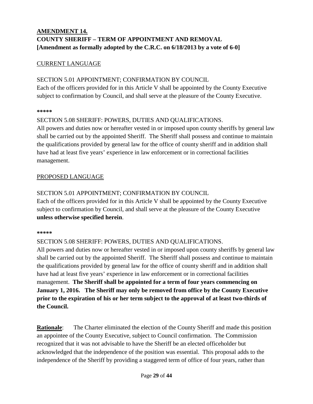## **AMENDMENT 14. COUNTY SHERIFF – TERM OF APPOINTMENT AND REMOVAL [Amendment as formally adopted by the C.R.C. on 6/18/2013 by a vote of 6-0]**

## CURRENT LANGUAGE

### SECTION 5.01 APPOINTMENT; CONFIRMATION BY COUNCIL

Each of the officers provided for in this Article V shall be appointed by the County Executive subject to confirmation by Council, and shall serve at the pleasure of the County Executive.

#### **\*\*\*\*\***

### SECTION 5.08 SHERIFF: POWERS, DUTIES AND QUALIFICATIONS.

All powers and duties now or hereafter vested in or imposed upon county sheriffs by general law shall be carried out by the appointed Sheriff. The Sheriff shall possess and continue to maintain the qualifications provided by general law for the office of county sheriff and in addition shall have had at least five years' experience in law enforcement or in correctional facilities management.

### PROPOSED LANGUAGE

## SECTION 5.01 APPOINTMENT; CONFIRMATION BY COUNCIL

Each of the officers provided for in this Article V shall be appointed by the County Executive subject to confirmation by Council, and shall serve at the pleasure of the County Executive **unless otherwise specified herein**.

#### **\*\*\*\*\***

## SECTION 5.08 SHERIFF: POWERS, DUTIES AND QUALIFICATIONS.

All powers and duties now or hereafter vested in or imposed upon county sheriffs by general law shall be carried out by the appointed Sheriff. The Sheriff shall possess and continue to maintain the qualifications provided by general law for the office of county sheriff and in addition shall have had at least five years' experience in law enforcement or in correctional facilities management. **The Sheriff shall be appointed for a term of four years commencing on January 1, 2016. The Sheriff may only be removed from office by the County Executive prior to the expiration of his or her term subject to the approval of at least two-thirds of the Council.**

**Rationale:** The Charter eliminated the election of the County Sheriff and made this position an appointee of the County Executive, subject to Council confirmation. The Commission recognized that it was not advisable to have the Sheriff be an elected officeholder but acknowledged that the independence of the position was essential. This proposal adds to the independence of the Sheriff by providing a staggered term of office of four years, rather than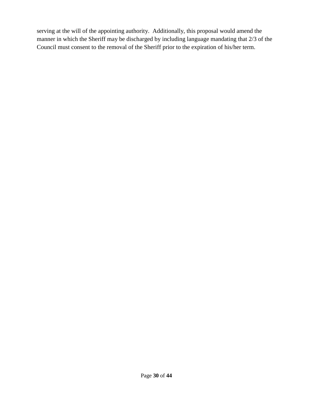serving at the will of the appointing authority. Additionally, this proposal would amend the manner in which the Sheriff may be discharged by including language mandating that 2/3 of the Council must consent to the removal of the Sheriff prior to the expiration of his/her term.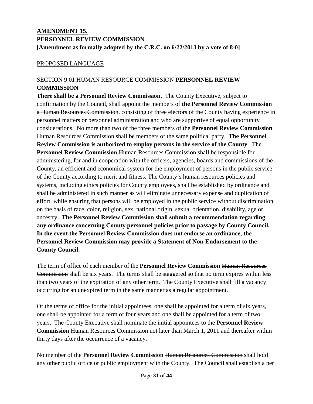## **AMENDMENT 15. PERSONNEL REVIEW COMMISSION [Amendment as formally adopted by the C.R.C. on 6/22/2013 by a vote of 8-0]**

### PROPOSED LANGUAGE

## SECTION 9.01 HUMAN RESOURCE COMMISSION **PERSONNEL REVIEW COMMISSION**

**There shall be a Personnel Review Commission.** The County Executive, subject to confirmation by the Council, shall appoint the members of **the Personnel Review Commission** a Human Resources Commission, consisting of three electors of the County having experience in personnel matters or personnel administration and who are supportive of equal opportunity considerations. No more than two of the three members of the **Personnel Review Commission** Human Resources Commission shall be members of the same political party. **The Personnel Review Commission is authorized to employ persons in the service of the County**. The **Personnel Review Commission Human Resources Commission** shall be responsible for administering, for and in cooperation with the officers, agencies, boards and commissions of the County, an efficient and economical system for the employment of persons in the public service of the County according to merit and fitness. The County's human resources policies and systems, including ethics policies for County employees, shall be established by ordinance and shall be administered in such manner as will eliminate unnecessary expense and duplication of effort, while ensuring that persons will be employed in the public service without discrimination on the basis of race, color, religion, sex, national origin, sexual orientation, disability, age or ancestry. **The Personnel Review Commission shall submit a recommendation regarding any ordinance concerning County personnel policies prior to passage by County Council. In the event the Personnel Review Commission does not endorse an ordinance, the Personnel Review Commission may provide a Statement of Non-Endorsement to the County Council.**

The term of office of each member of the **Personnel Review Commission** Human Resources Commission shall be six years. The terms shall be staggered so that no term expires within less than two years of the expiration of any other term. The County Executive shall fill a vacancy occurring for an unexpired term in the same manner as a regular appointment.

Of the terms of office for the initial appointees, one shall be appointed for a term of six years, one shall be appointed for a term of four years and one shall be appointed for a term of two years. The County Executive shall nominate the initial appointees to the **Personnel Review Commission Human Resources Commission** not later than March 1, 2011 and thereafter within thirty days after the occurrence of a vacancy.

No member of the **Personnel Review Commission** Human Resources Commission shall hold any other public office or public employment with the County. The Council shall establish a per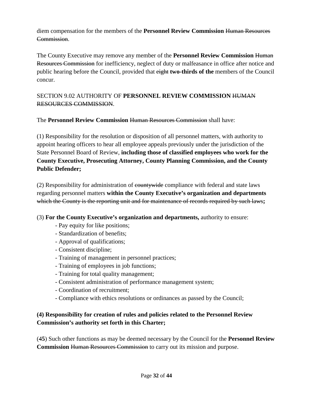diem compensation for the members of the **Personnel Review Commission** Human Resources Commission.

The County Executive may remove any member of the **Personnel Review Commission** Human Resources Commission for inefficiency, neglect of duty or malfeasance in office after notice and public hearing before the Council, provided that eight **two-thirds of the** members of the Council concur.

## SECTION 9.02 AUTHORITY OF **PERSONNEL REVIEW COMMISSION** HUMAN RESOURCES COMMISSION.

The **Personnel Review Commission** Human Resources Commission shall have:

(1) Responsibility for the resolution or disposition of all personnel matters, with authority to appoint hearing officers to hear all employee appeals previously under the jurisdiction of the State Personnel Board of Review, **including those of classified employees who work for the County Executive, Prosecuting Attorney, County Planning Commission, and the County Public Defender;**

(2) Responsibility for administration of countywide compliance with federal and state laws regarding personnel matters **within the County Executive's organization and departments** which the County is the reporting unit and for maintenance of records required by such laws**;**

## (3) **For the County Executive's organization and departments,** authority to ensure:

- Pay equity for like positions;
- Standardization of benefits;
- Approval of qualifications;
- Consistent discipline;
- Training of management in personnel practices;
- Training of employees in job functions;
- Training for total quality management;
- Consistent administration of performance management system;
- Coordination of recruitment;
- Compliance with ethics resolutions or ordinances as passed by the Council;

## **(4) Responsibility for creation of rules and policies related to the Personnel Review Commission's authority set forth in this Charter;**

(4**5**) Such other functions as may be deemed necessary by the Council for the **Personnel Review Commission Human Resources Commission** to carry out its mission and purpose.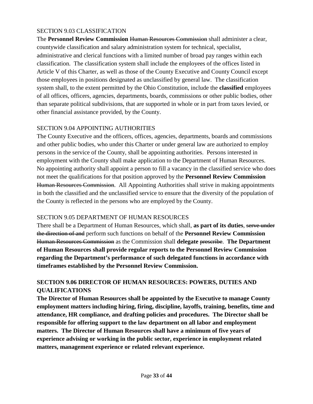## SECTION 9.03 CLASSIFICATION

The **Personnel Review Commission** Human Resources Commission shall administer a clear, countywide classification and salary administration system for technical, specialist, administrative and clerical functions with a limited number of broad pay ranges within each classification. The classification system shall include the employees of the offices listed in Article V of this Charter, as well as those of the County Executive and County Council except those employees in positions designated as unclassified by general law. The classification system shall, to the extent permitted by the Ohio Constitution, include the **classified** employees of all offices, officers, agencies, departments, boards, commissions or other public bodies, other than separate political subdivisions, that are supported in whole or in part from taxes levied, or other financial assistance provided, by the County.

## SECTION 9.04 APPOINTING AUTHORITIES

The County Executive and the officers, offices, agencies, departments, boards and commissions and other public bodies, who under this Charter or under general law are authorized to employ persons in the service of the County, shall be appointing authorities. Persons interested in employment with the County shall make application to the Department of Human Resources. No appointing authority shall appoint a person to fill a vacancy in the classified service who does not meet the qualifications for that position approved by the **Personnel Review Commission** Human Resources Commission. All Appointing Authorities shall strive in making appointments in both the classified and the unclassified service to ensure that the diversity of the population of the County is reflected in the persons who are employed by the County.

## SECTION 9.05 DEPARTMENT OF HUMAN RESOURCES

There shall be a Department of Human Resources, which shall, **as part of its duties**, serve under the direction of and perform such functions on behalf of the **Personnel Review Commission** Human Resources Commission as the Commission shall **delegate** prescribe. **The Department of Human Resources shall provide regular reports to the Personnel Review Commission regarding the Department's performance of such delegated functions in accordance with timeframes established by the Personnel Review Commission.**

## **SECTION 9.06 DIRECTOR OF HUMAN RESOURCES: POWERS, DUTIES AND QUALIFICATIONS**

**The Director of Human Resources shall be appointed by the Executive to manage County employment matters including hiring, firing, discipline, layoffs, training, benefits, time and attendance, HR compliance, and drafting policies and procedures. The Director shall be responsible for offering support to the law department on all labor and employment matters. The Director of Human Resources shall have a minimum of five years of experience advising or working in the public sector, experience in employment related matters, management experience or related relevant experience.**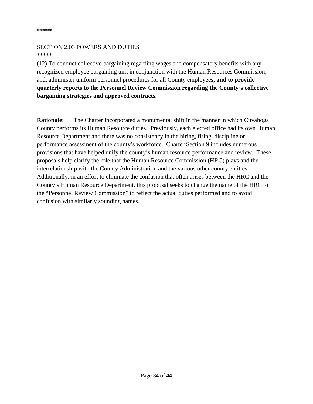#### SECTION 2.03 POWERS AND DUTIES \*\*\*\*\*

(12) To conduct collective bargaining regarding wages and compensatory benefits with any recognized employee bargaining unit in conjunction with the Human Resources Commission, and, administer uniform personnel procedures for all County employees**, and to provide quarterly reports to the Personnel Review Commission regarding the County's collective bargaining strategies and approved contracts.**

**Rationale:** The Charter incorporated a monumental shift in the manner in which Cuyahoga County performs its Human Resource duties. Previously, each elected office had its own Human Resource Department and there was no consistency in the hiring, firing, discipline or performance assessment of the county's workforce. Charter Section 9 includes numerous provisions that have helped unify the county's human resource performance and review. These proposals help clarify the role that the Human Resource Commission (HRC) plays and the interrelationship with the County Administration and the various other county entities. Additionally, in an effort to eliminate the confusion that often arises between the HRC and the County's Human Resource Department, this proposal seeks to change the name of the HRC to the "Personnel Review Commission" to reflect the actual duties performed and to avoid confusion with similarly sounding names.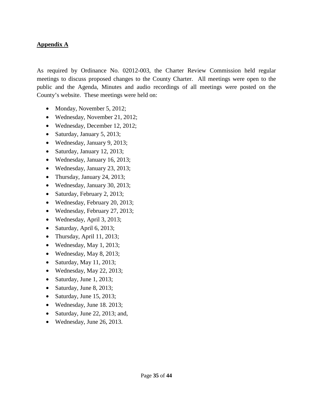### **Appendix A**

As required by Ordinance No. 02012-003, the Charter Review Commission held regular meetings to discuss proposed changes to the County Charter. All meetings were open to the public and the Agenda, Minutes and audio recordings of all meetings were posted on the County's website. These meetings were held on:

- Monday, November 5, 2012;
- Wednesday, November 21, 2012;
- Wednesday, December 12, 2012;
- Saturday, January 5, 2013;
- Wednesday, January 9, 2013;
- Saturday, January 12, 2013;
- Wednesday, January 16, 2013;
- Wednesday, January 23, 2013;
- Thursday, January 24, 2013;
- Wednesday, January 30, 2013;
- Saturday, February 2, 2013;
- Wednesday, February 20, 2013;
- Wednesday, February 27, 2013;
- Wednesday, April 3, 2013;
- Saturday, April 6, 2013;
- Thursday, April 11, 2013;
- Wednesday, May 1, 2013;
- Wednesday, May 8, 2013;
- Saturday, May 11, 2013;
- Wednesday, May 22, 2013;
- Saturday, June 1, 2013;
- Saturday, June 8, 2013;
- Saturday, June 15, 2013;
- Wednesday, June 18. 2013;
- Saturday, June 22, 2013; and,
- Wednesday, June 26, 2013.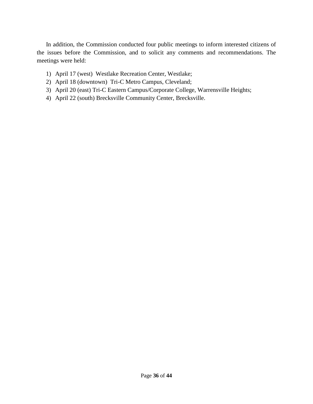In addition, the Commission conducted four public meetings to inform interested citizens of the issues before the Commission, and to solicit any comments and recommendations. The meetings were held:

- 1) April 17 (west) Westlake Recreation Center, Westlake;
- 2) April 18 (downtown) Tri-C Metro Campus, Cleveland;
- 3) April 20 (east) Tri-C Eastern Campus/Corporate College, Warrensville Heights;
- 4) April 22 (south) Brecksville Community Center, Brecksville.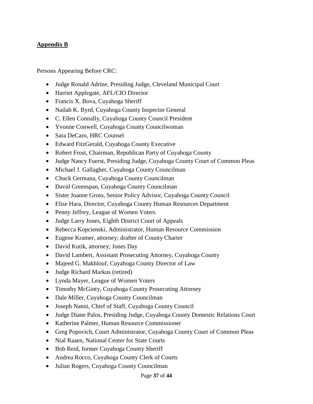## **Appendix B**

Persons Appearing Before CRC:

- Judge Ronald Adrine, Presiding Judge, Cleveland Municipal Court
- Harriet Applegate, AFL/CIO Director
- Francis X. Bova, Cuyahoga Sheriff
- Nailah K. Byrd, Cuyahoga County Inspector General
- C. Ellen Connally, Cuyahoga County Council President
- Yvonne Conwell, Cuyahoga County Councilwoman
- Sara DeCaro, HRC Counsel
- Edward FitzGerald, Cuyahoga County Executive
- Robert Frost, Chairman, Republican Party of Cuyahoga County
- Judge Nancy Fuerst, Presiding Judge, Cuyahoga County Court of Common Pleas
- Michael J. Gallagher, Cuyahoga County Councilman
- Chuck Germana, Cuyahoga County Councilman
- David Greenspan, Cuyahoga County Councilman
- Sister Joanne Gross, Senior Policy Advisor, Cuyahoga County Council
- Elise Hara, Director, Cuyahoga County Human Resources Department
- Penny Jeffrey, League of Women Voters
- Judge Larry Jones, Eighth District Court of Appeals
- Rebecca Kopcienski, Administrator, Human Resource Commission
- Eugene Kramer, attorney; drafter of County Charter
- David Kutik, attorney; Jones Day
- David Lambert, Assistant Prosecuting Attorney, Cuyahoga County
- Majeed G. Makhlouf, Cuyahoga County Director of Law
- Judge Richard Markus (retired)
- Lynda Mayer, League of Women Voters
- Timothy McGinty, Cuyahoga County Prosecuting Attorney
- Dale Miller, Cuyahoga County Councilman
- Joseph Nanni, Chief of Staff, Cuyahoga County Council
- Judge Diane Palos, Presiding Judge, Cuyahoga County Domestic Relations Court
- Katherine Palmer, Human Resource Commissioner
- Greg Popovich, Court Administrator, Cuyahoga County Court of Common Pleas
- Nial Raaen, National Center for State Courts
- Bob Reid, former Cuyahoga County Sheriff
- Andrea Rocco, Cuyahoga County Clerk of Courts
- Julian Rogers, Cuyahoga County Councilman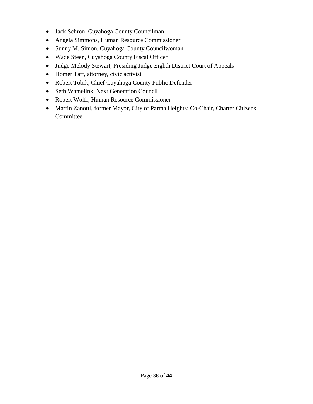- Jack Schron, Cuyahoga County Councilman
- Angela Simmons, Human Resource Commissioner
- Sunny M. Simon, Cuyahoga County Councilwoman
- Wade Steen, Cuyahoga County Fiscal Officer
- Judge Melody Stewart, Presiding Judge Eighth District Court of Appeals
- Homer Taft, attorney, civic activist
- Robert Tobik, Chief Cuyahoga County Public Defender
- Seth Wamelink, Next Generation Council
- Robert Wolff, Human Resource Commissioner
- Martin Zanotti, former Mayor, City of Parma Heights; Co-Chair, Charter Citizens Committee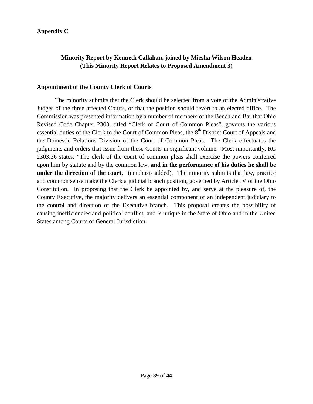### **Appendix C**

## **Minority Report by Kenneth Callahan, joined by Miesha Wilson Headen (This Minority Report Relates to Proposed Amendment 3)**

#### **Appointment of the County Clerk of Courts**

The minority submits that the Clerk should be selected from a vote of the Administrative Judges of the three affected Courts, or that the position should revert to an elected office. The Commission was presented information by a number of members of the Bench and Bar that Ohio Revised Code Chapter 2303, titled "Clerk of Court of Common Pleas", governs the various essential duties of the Clerk to the Court of Common Pleas, the 8<sup>th</sup> District Court of Appeals and the Domestic Relations Division of the Court of Common Pleas. The Clerk effectuates the judgments and orders that issue from these Courts in significant volume. Most importantly, RC 2303.26 states: "The clerk of the court of common pleas shall exercise the powers conferred upon him by statute and by the common law; **and in the performance of his duties he shall be under the direction of the court.**" (emphasis added). The minority submits that law, practice and common sense make the Clerk a judicial branch position, governed by Article IV of the Ohio Constitution. In proposing that the Clerk be appointed by, and serve at the pleasure of, the County Executive, the majority delivers an essential component of an independent judiciary to the control and direction of the Executive branch. This proposal creates the possibility of causing inefficiencies and political conflict, and is unique in the State of Ohio and in the United States among Courts of General Jurisdiction.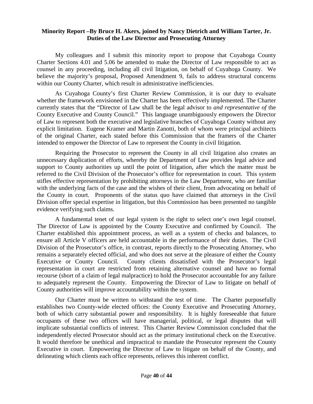#### **Minority Report –By Bruce H. Akers, joined by Nancy Dietrich and William Tarter, Jr. Duties of the Law Director and Prosecuting Attorney**

My colleagues and I submit this minority report to propose that Cuyahoga County Charter Sections 4.01 and 5.06 be amended to make the Director of Law responsible to act as counsel in any proceeding, including all civil litigation, on behalf of Cuyahoga County. We believe the majority's proposal, Proposed Amendment 9, fails to address structural concerns within our County Charter, which result in administrative inefficiencies.

As Cuyahoga County's first Charter Review Commission, it is our duty to evaluate whether the framework envisioned in the Charter has been effectively implemented. The Charter currently states that the "Director of Law shall be the legal advisor to *and representative of* the County Executive and County Council." This language unambiguously empowers the Director of Law to represent both the executive and legislative branches of Cuyahoga County without any explicit limitation. Eugene Kramer and Martin Zanotti, both of whom were principal architects of the original Charter, each stated before this Commission that the framers of the Charter intended to empower the Director of Law to represent the County in civil litigation.

Requiring the Prosecutor to represent the County in all civil litigation also creates an unnecessary duplication of efforts, whereby the Department of Law provides legal advice and support to County authorities up until the point of litigation, after which the matter must be referred to the Civil Division of the Prosecutor's office for representation in court. This system stifles effective representation by prohibiting attorneys in the Law Department, who are familiar with the underlying facts of the case and the wishes of their client, from advocating on behalf of the County in court. Proponents of the status quo have claimed that attorneys in the Civil Division offer special expertise in litigation, but this Commission has been presented no tangible evidence verifying such claims.

A fundamental tenet of our legal system is the right to select one's own legal counsel. The Director of Law is appointed by the County Executive and confirmed by Council. The Charter established this appointment process, as well as a system of checks and balances, to ensure all Article V officers are held accountable in the performance of their duties. The Civil Division of the Prosecutor's office, in contrast, reports directly to the Prosecuting Attorney, who remains a separately elected official, and who does not serve at the pleasure of either the County Executive or County Council. County clients dissatisfied with the Prosecutor's legal representation in court are restricted from retaining alternative counsel and have no formal recourse (short of a claim of legal malpractice) to hold the Prosecutor accountable for any failure to adequately represent the County. Empowering the Director of Law to litigate on behalf of County authorities will improve accountability within the system.

Our Charter must be written to withstand the test of time. The Charter purposefully establishes two County-wide elected offices: the County Executive and Prosecuting Attorney, both of which carry substantial power and responsibility. It is highly foreseeable that future occupants of these two offices will have managerial, political, or legal disputes that will implicate substantial conflicts of interest. This Charter Review Commission concluded that the independently elected Prosecutor should act as the primary institutional check on the Executive. It would therefore be unethical and impractical to mandate the Prosecutor represent the County Executive in court. Empowering the Director of Law to litigate on behalf of the County, and delineating which clients each office represents, relieves this inherent conflict.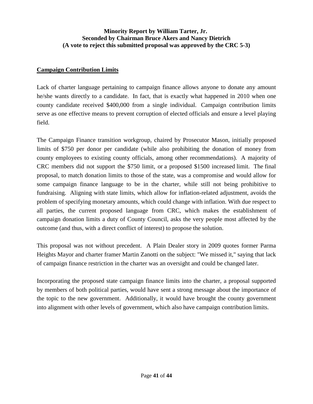## **Minority Report by William Tarter, Jr. Seconded by Chairman Bruce Akers and Nancy Dietrich (A vote to reject this submitted proposal was approved by the CRC 5-3)**

### **Campaign Contribution Limits**

Lack of charter language pertaining to campaign finance allows anyone to donate any amount he/she wants directly to a candidate. In fact, that is exactly what happened in 2010 when one county candidate received \$400,000 from a single individual. Campaign contribution limits serve as one effective means to prevent corruption of elected officials and ensure a level playing field.

The Campaign Finance transition workgroup, chaired by Prosecutor Mason, initially proposed limits of \$750 per donor per candidate (while also prohibiting the donation of money from county employees to existing county officials, among other recommendations). A majority of CRC members did not support the \$750 limit, or a proposed \$1500 increased limit. The final proposal, to match donation limits to those of the state, was a compromise and would allow for some campaign finance language to be in the charter, while still not being prohibitive to fundraising. Aligning with state limits, which allow for inflation-related adjustment, avoids the problem of specifying monetary amounts, which could change with inflation. With due respect to all parties, the current proposed language from CRC, which makes the establishment of campaign donation limits a duty of County Council, asks the very people most affected by the outcome (and thus, with a direct conflict of interest) to propose the solution.

This proposal was not without precedent. A Plain Dealer story in 2009 quotes former Parma Heights Mayor and charter framer Martin Zanotti on the subject: "We missed it," saying that lack of campaign finance restriction in the charter was an oversight and could be changed later.

Incorporating the proposed state campaign finance limits into the charter, a proposal supported by members of both political parties, would have sent a strong message about the importance of the topic to the new government. Additionally, it would have brought the county government into alignment with other levels of government, which also have campaign contribution limits.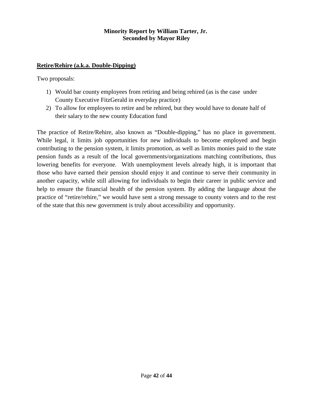#### **Minority Report by William Tarter, Jr. Seconded by Mayor Riley**

### **Retire/Rehire (a.k.a. Double-Dipping)**

Two proposals:

- 1) Would bar county employees from retiring and being rehired (as is the case under County Executive FitzGerald in everyday practice)
- 2) To allow for employees to retire and be rehired, but they would have to donate half of their salary to the new county Education fund

The practice of Retire/Rehire, also known as "Double-dipping," has no place in government. While legal, it limits job opportunities for new individuals to become employed and begin contributing to the pension system, it limits promotion, as well as limits monies paid to the state pension funds as a result of the local governments/organizations matching contributions, thus lowering benefits for everyone. With unemployment levels already high, it is important that those who have earned their pension should enjoy it and continue to serve their community in another capacity, while still allowing for individuals to begin their career in public service and help to ensure the financial health of the pension system. By adding the language about the practice of "retire/rehire," we would have sent a strong message to county voters and to the rest of the state that this new government is truly about accessibility and opportunity.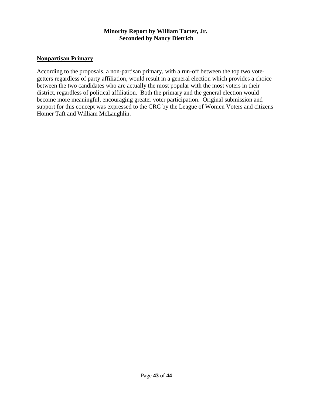#### **Minority Report by William Tarter, Jr. Seconded by Nancy Dietrich**

#### **Nonpartisan Primary**

According to the proposals, a non-partisan primary, with a run-off between the top two votegetters regardless of party affiliation, would result in a general election which provides a choice between the two candidates who are actually the most popular with the most voters in their district, regardless of political affiliation. Both the primary and the general election would become more meaningful, encouraging greater voter participation. Original submission and support for this concept was expressed to the CRC by the League of Women Voters and citizens Homer Taft and William McLaughlin.